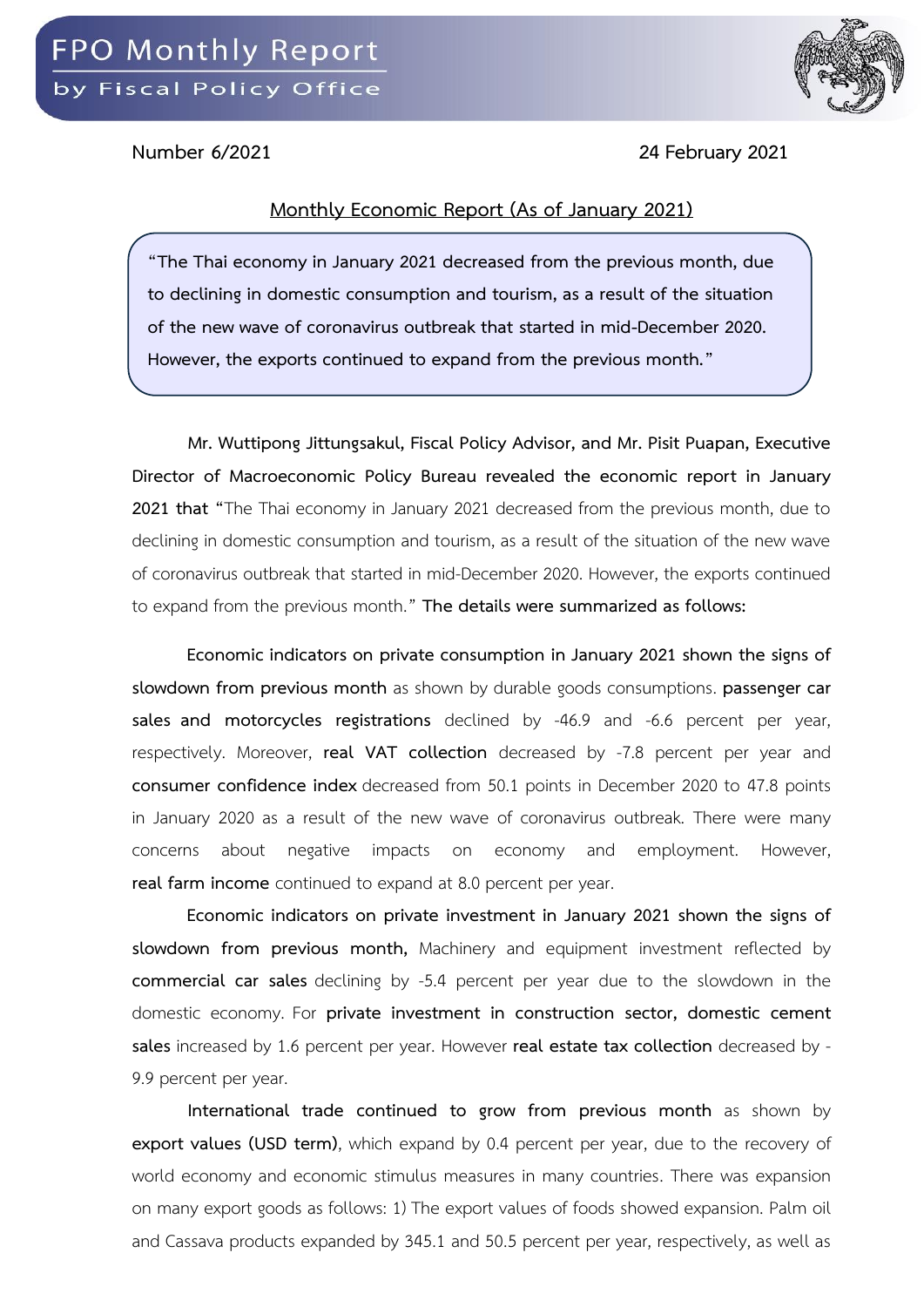

**Number 6/2021 24 February 2021**

## **Monthly Economic Report (As of January 2021)**

**"The Thai economy in January 2021 decreased from the previous month, due to declining in domestic consumption and tourism, as a result of the situation of the new wave of coronavirus outbreak that started in mid-December 2020. However, the exports continued to expand from the previous month."**

**Mr. Wuttipong Jittungsakul, Fiscal Policy Advisor, and Mr. Pisit Puapan, Executive Director of Macroeconomic Policy Bureau revealed the economic report in January 2021 that "**The Thai economy in January 2021 decreased from the previous month, due to declining in domestic consumption and tourism, as a result of the situation of the new wave of coronavirus outbreak that started in mid-December 2020. However, the exports continued to expand from the previous month." **The details were summarized as follows:** 

**Economic indicators on private consumption in January 2021 shown the signs of slowdown from previous month** as shown by durable goods consumptions. **passenger car sales and motorcycles registrations** declined by -46.9 and -6.6 percent per year, respectively. Moreover, **real VAT collection** decreased by -7.8 percent per year and **consumer confidence index** decreased from 50.1 points in December 2020 to 47.8 points in January 2020 as a result of the new wave of coronavirus outbreak. There were many concerns about negative impacts on economy and employment. However, **real farm income** continued to expand at 8.0 percent per year.

**Economic indicators on private investment in January 2021 shown the signs of slowdown from previous month,** Machinery and equipment investment reflected by **commercial car sales** declining by -5.4 percent per year due to the slowdown in the domestic economy. For **private investment in construction sector, domestic cement sales** increased by 1.6 percent per year. However **real estate tax collection** decreased by - 9.9 percent per year.

**International trade continued to grow from previous month** as shown by **export values (USD term)**, which expand by 0.4 percent per year, due to the recovery of world economy and economic stimulus measures in many countries. There was expansion on many export goods as follows: 1) The export values of foods showed expansion. Palm oil and Cassava products expanded by 345.1 and 50.5 percent per year, respectively, as well as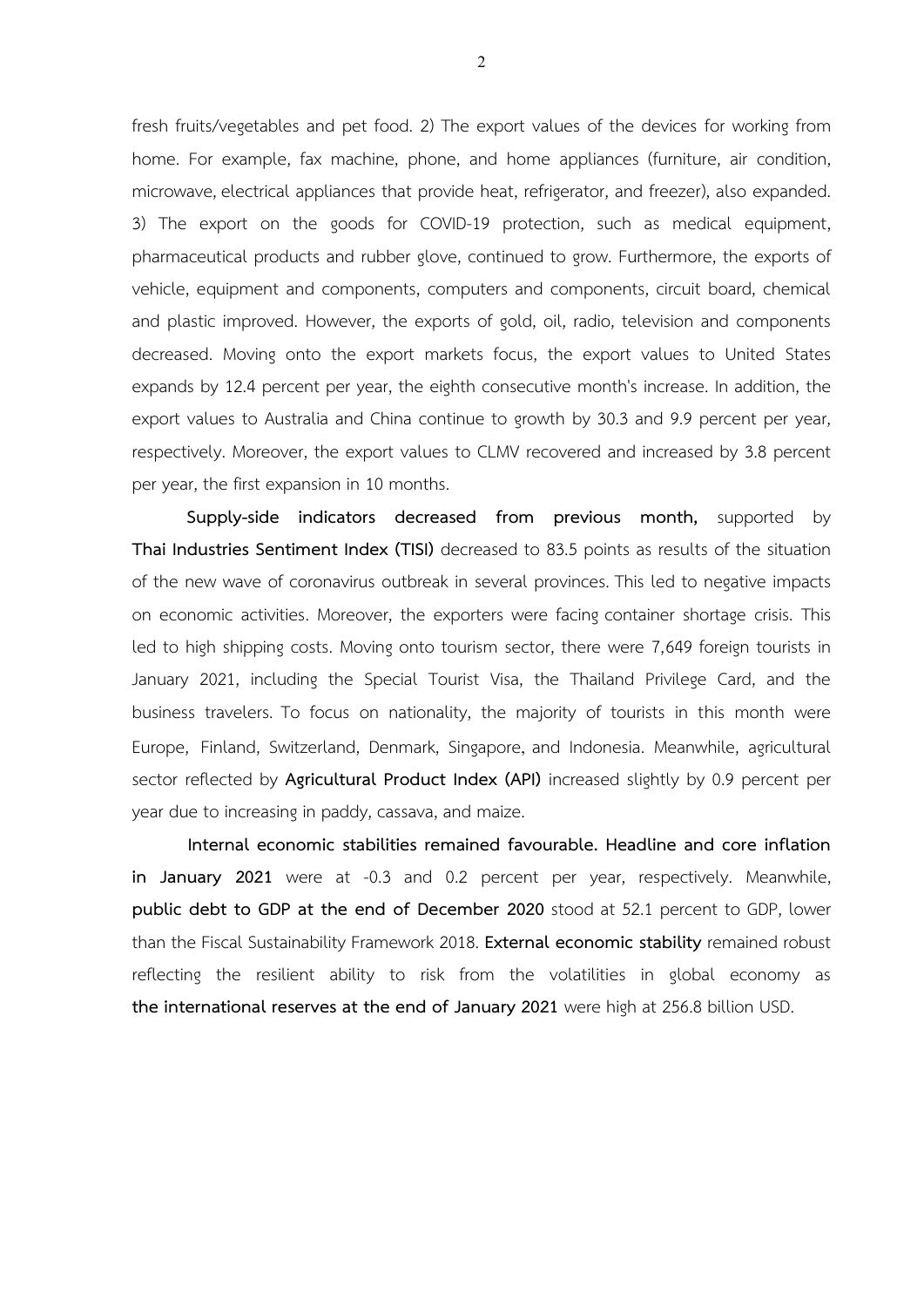fresh fruits/vegetables and pet food. 2) The export values of the devices for working from home. For example, fax machine, phone, and home appliances (furniture, air condition, microwave, electrical appliances that provide heat, refrigerator, and freezer), also expanded. 3) The export on the goods for COVID-19 protection, such as medical equipment, pharmaceutical products and rubber glove, continued to grow. Furthermore, the exports of vehicle, equipment and components, computers and components, circuit board, chemical and plastic improved. However, the exports of gold, oil, radio, television and components decreased. Moving onto the export markets focus, the export values to United States expands by 12.4 percent per year, the eighth consecutive month's increase. In addition, the export values to Australia and China continue to growth by 30.3 and 9.9 percent per year, respectively. Moreover, the export values to CLMV recovered and increased by 3.8 percent per year, the first expansion in 10 months.

**Supply-side indicators decreased from previous month,** supported by **Thai Industries Sentiment Index (TISI)** decreased to 83.5 points as results of the situation of the new wave of coronavirus outbreak in several provinces. This led to negative impacts on economic activities. Moreover, the exporters were facing container shortage crisis. This led to high shipping costs. Moving onto tourism sector, there were 7,649 foreign tourists in January 2021, including the Special Tourist Visa, the Thailand Privilege Card, and the business travelers. To focus on nationality, the majority of tourists in this month were Europe, Finland, Switzerland, Denmark, Singapore, and Indonesia. Meanwhile, agricultural sector reflected by **Agricultural Product Index (API)** increased slightly by 0.9 percent per year due to increasing in paddy, cassava, and maize.

**Internal economic stabilities remained favourable. Headline and core inflation in January 2021** were at -0.3 and 0.2 percent per year, respectively. Meanwhile, **public debt to GDP at the end of December 2020** stood at 52.1 percent to GDP, lower than the Fiscal Sustainability Framework 2018. **External economic stability** remained robust reflecting the resilient ability to risk from the volatilities in global economy as **the international reserves at the end of January 2021** were high at 256.8 billion USD.

2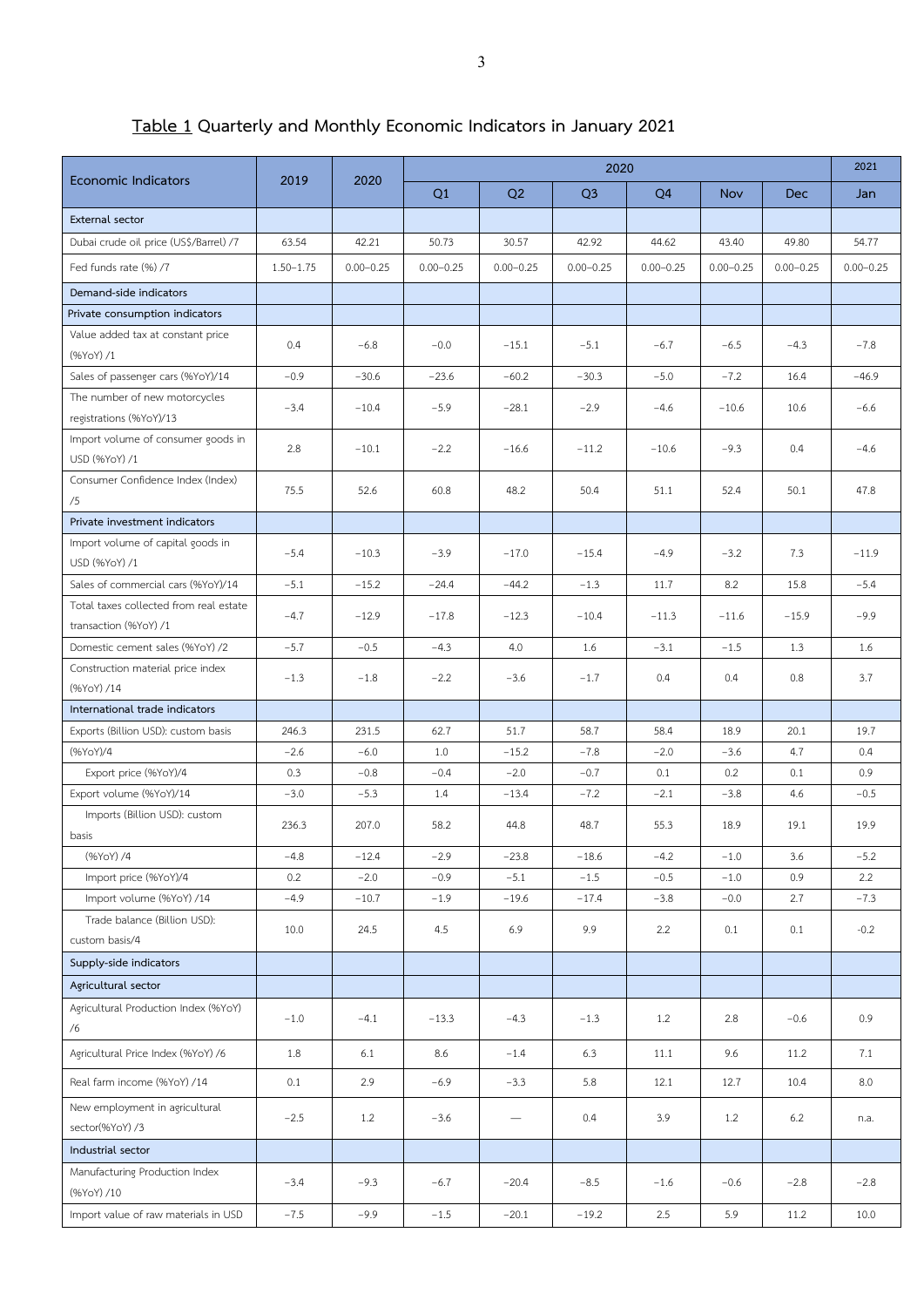## **Table 1 Quarterly and Monthly Economic Indicators in January 2021**

| Q <sub>3</sub><br>Q1<br>Q2<br>Q <sub>4</sub><br>Jan<br><b>Nov</b><br>Dec<br>External sector<br>Dubai crude oil price (US\$/Barrel) /7<br>63.54<br>42.21<br>50.73<br>30.57<br>42.92<br>44.62<br>43.40<br>49.80<br>54.77<br>Fed funds rate (%) /7<br>$1.50 - 1.75$<br>$0.00 - 0.25$<br>$0.00 - 0.25$<br>$0.00 - 0.25$<br>$0.00 - 0.25$<br>$0.00 - 0.25$<br>$0.00 - 0.25$<br>$0.00 - 0.25$<br>$0.00 - 0.25$<br>Demand-side indicators<br>Private consumption indicators<br>Value added tax at constant price<br>0.4<br>$-6.8$<br>$-0.0$<br>$-15.1$<br>$-6.5$<br>$-4.3$<br>$-7.8$<br>$-5.1$<br>$-6.7$<br>(%YoY) /1<br>$-0.9$<br>$-30.3$<br>$-5.0$<br>Sales of passenger cars (%YoY)/14<br>$-30.6$<br>$-23.6$<br>$-60.2$<br>$-7.2$<br>16.4<br>$-46.9$<br>The number of new motorcycles<br>$-5.9$<br>$-2.9$<br>$-3.4$<br>$-10.4$<br>$-28.1$<br>$-4.6$<br>$-10.6$<br>10.6<br>$-6.6$<br>registrations (%YoY)/13<br>Import volume of consumer goods in<br>2.8<br>$-2.2$<br>$-10.1$<br>$-16.6$<br>$-11.2$<br>$-10.6$<br>$-9.3$<br>0.4<br>$-4.6$<br>USD (%YoY) /1<br>Consumer Confidence Index (Index)<br>75.5<br>52.6<br>60.8<br>48.2<br>50.4<br>51.1<br>52.4<br>50.1<br>47.8<br>/5<br>Private investment indicators<br>Import volume of capital goods in<br>$-5.4$<br>$-10.3$<br>$-3.9$<br>$-17.0$<br>$-15.4$<br>$-4.9$<br>$-3.2$<br>7.3<br>$-11.9$ |                            | 2019 | 2020 | 2020 |  |  |  |  |  | 2021 |
|--------------------------------------------------------------------------------------------------------------------------------------------------------------------------------------------------------------------------------------------------------------------------------------------------------------------------------------------------------------------------------------------------------------------------------------------------------------------------------------------------------------------------------------------------------------------------------------------------------------------------------------------------------------------------------------------------------------------------------------------------------------------------------------------------------------------------------------------------------------------------------------------------------------------------------------------------------------------------------------------------------------------------------------------------------------------------------------------------------------------------------------------------------------------------------------------------------------------------------------------------------------------------------------------------------------------------------------------|----------------------------|------|------|------|--|--|--|--|--|------|
|                                                                                                                                                                                                                                                                                                                                                                                                                                                                                                                                                                                                                                                                                                                                                                                                                                                                                                                                                                                                                                                                                                                                                                                                                                                                                                                                            | <b>Economic Indicators</b> |      |      |      |  |  |  |  |  |      |
|                                                                                                                                                                                                                                                                                                                                                                                                                                                                                                                                                                                                                                                                                                                                                                                                                                                                                                                                                                                                                                                                                                                                                                                                                                                                                                                                            |                            |      |      |      |  |  |  |  |  |      |
|                                                                                                                                                                                                                                                                                                                                                                                                                                                                                                                                                                                                                                                                                                                                                                                                                                                                                                                                                                                                                                                                                                                                                                                                                                                                                                                                            |                            |      |      |      |  |  |  |  |  |      |
|                                                                                                                                                                                                                                                                                                                                                                                                                                                                                                                                                                                                                                                                                                                                                                                                                                                                                                                                                                                                                                                                                                                                                                                                                                                                                                                                            |                            |      |      |      |  |  |  |  |  |      |
|                                                                                                                                                                                                                                                                                                                                                                                                                                                                                                                                                                                                                                                                                                                                                                                                                                                                                                                                                                                                                                                                                                                                                                                                                                                                                                                                            |                            |      |      |      |  |  |  |  |  |      |
|                                                                                                                                                                                                                                                                                                                                                                                                                                                                                                                                                                                                                                                                                                                                                                                                                                                                                                                                                                                                                                                                                                                                                                                                                                                                                                                                            |                            |      |      |      |  |  |  |  |  |      |
|                                                                                                                                                                                                                                                                                                                                                                                                                                                                                                                                                                                                                                                                                                                                                                                                                                                                                                                                                                                                                                                                                                                                                                                                                                                                                                                                            |                            |      |      |      |  |  |  |  |  |      |
|                                                                                                                                                                                                                                                                                                                                                                                                                                                                                                                                                                                                                                                                                                                                                                                                                                                                                                                                                                                                                                                                                                                                                                                                                                                                                                                                            |                            |      |      |      |  |  |  |  |  |      |
|                                                                                                                                                                                                                                                                                                                                                                                                                                                                                                                                                                                                                                                                                                                                                                                                                                                                                                                                                                                                                                                                                                                                                                                                                                                                                                                                            |                            |      |      |      |  |  |  |  |  |      |
|                                                                                                                                                                                                                                                                                                                                                                                                                                                                                                                                                                                                                                                                                                                                                                                                                                                                                                                                                                                                                                                                                                                                                                                                                                                                                                                                            |                            |      |      |      |  |  |  |  |  |      |
|                                                                                                                                                                                                                                                                                                                                                                                                                                                                                                                                                                                                                                                                                                                                                                                                                                                                                                                                                                                                                                                                                                                                                                                                                                                                                                                                            |                            |      |      |      |  |  |  |  |  |      |
|                                                                                                                                                                                                                                                                                                                                                                                                                                                                                                                                                                                                                                                                                                                                                                                                                                                                                                                                                                                                                                                                                                                                                                                                                                                                                                                                            |                            |      |      |      |  |  |  |  |  |      |
|                                                                                                                                                                                                                                                                                                                                                                                                                                                                                                                                                                                                                                                                                                                                                                                                                                                                                                                                                                                                                                                                                                                                                                                                                                                                                                                                            | USD (%YoY) /1              |      |      |      |  |  |  |  |  |      |
| Sales of commercial cars (%YoY)/14<br>$-5.1$<br>$-15.2$<br>$-1.3$<br>8.2<br>$-24.4$<br>$-44.2$<br>11.7<br>15.8<br>$-5.4$                                                                                                                                                                                                                                                                                                                                                                                                                                                                                                                                                                                                                                                                                                                                                                                                                                                                                                                                                                                                                                                                                                                                                                                                                   |                            |      |      |      |  |  |  |  |  |      |
| Total taxes collected from real estate<br>$-9.9$<br>$-4.7$<br>$-12.9$<br>$-17.8$<br>$-12.3$<br>$-10.4$<br>$-11.3$<br>$-11.6$<br>$-15.9$<br>transaction (%YoY) /1                                                                                                                                                                                                                                                                                                                                                                                                                                                                                                                                                                                                                                                                                                                                                                                                                                                                                                                                                                                                                                                                                                                                                                           |                            |      |      |      |  |  |  |  |  |      |
| Domestic cement sales (%YoY) /2<br>$-5.7$<br>$-0.5$<br>$-4.3$<br>4.0<br>1.6<br>$-3.1$<br>$-1.5$<br>1.3<br>1.6                                                                                                                                                                                                                                                                                                                                                                                                                                                                                                                                                                                                                                                                                                                                                                                                                                                                                                                                                                                                                                                                                                                                                                                                                              |                            |      |      |      |  |  |  |  |  |      |
| Construction material price index<br>$-1.3$<br>$-1.8$<br>$-2.2$<br>$-1.7$<br>0.4<br>0.4<br>0.8<br>3.7<br>$-3.6$                                                                                                                                                                                                                                                                                                                                                                                                                                                                                                                                                                                                                                                                                                                                                                                                                                                                                                                                                                                                                                                                                                                                                                                                                            |                            |      |      |      |  |  |  |  |  |      |
| (%YoY) /14                                                                                                                                                                                                                                                                                                                                                                                                                                                                                                                                                                                                                                                                                                                                                                                                                                                                                                                                                                                                                                                                                                                                                                                                                                                                                                                                 |                            |      |      |      |  |  |  |  |  |      |
| International trade indicators<br>20.1<br>Exports (Billion USD): custom basis<br>246.3<br>231.5<br>62.7<br>51.7<br>58.7<br>58.4<br>18.9<br>19.7                                                                                                                                                                                                                                                                                                                                                                                                                                                                                                                                                                                                                                                                                                                                                                                                                                                                                                                                                                                                                                                                                                                                                                                            |                            |      |      |      |  |  |  |  |  |      |
| (%YoY)/4<br>$-2.6$<br>$-6.0$<br>$-15.2$<br>$-7.8$<br>$-2.0$<br>4.7<br>1.0<br>$-3.6$<br>0.4                                                                                                                                                                                                                                                                                                                                                                                                                                                                                                                                                                                                                                                                                                                                                                                                                                                                                                                                                                                                                                                                                                                                                                                                                                                 |                            |      |      |      |  |  |  |  |  |      |
| Export price (%YoY)/4<br>0.3<br>$-0.8$<br>$-0.4$<br>$-2.0$<br>$-0.7$<br>0.1<br>0.2<br>0.1<br>0.9                                                                                                                                                                                                                                                                                                                                                                                                                                                                                                                                                                                                                                                                                                                                                                                                                                                                                                                                                                                                                                                                                                                                                                                                                                           |                            |      |      |      |  |  |  |  |  |      |
| Export volume (%YoY)/14<br>$-3.0$<br>$-5.3$<br>$-7.2$<br>$-2.1$<br>1.4<br>$-13.4$<br>$-3.8$<br>4.6<br>$-0.5$                                                                                                                                                                                                                                                                                                                                                                                                                                                                                                                                                                                                                                                                                                                                                                                                                                                                                                                                                                                                                                                                                                                                                                                                                               |                            |      |      |      |  |  |  |  |  |      |
| Imports (Billion USD): custom<br>236.3<br>207.0<br>58.2<br>44.8<br>48.7<br>55.3<br>18.9<br>19.1<br>19.9                                                                                                                                                                                                                                                                                                                                                                                                                                                                                                                                                                                                                                                                                                                                                                                                                                                                                                                                                                                                                                                                                                                                                                                                                                    |                            |      |      |      |  |  |  |  |  |      |
| basis                                                                                                                                                                                                                                                                                                                                                                                                                                                                                                                                                                                                                                                                                                                                                                                                                                                                                                                                                                                                                                                                                                                                                                                                                                                                                                                                      |                            |      |      |      |  |  |  |  |  |      |
| (%YoY) /4<br>$-2.9$<br>$-4.8$<br>$-12.4$<br>$-23.8$<br>$-18.6$<br>$-4.2$<br>$-1.0$<br>3.6<br>$-5.2$                                                                                                                                                                                                                                                                                                                                                                                                                                                                                                                                                                                                                                                                                                                                                                                                                                                                                                                                                                                                                                                                                                                                                                                                                                        |                            |      |      |      |  |  |  |  |  |      |
| Import price (%YoY)/4<br>0.2<br>$-2.0$<br>$-1.5$<br>$-0.5$<br>2.2<br>$-0.9$<br>$-5.1$<br>$-1.0$<br>0.9                                                                                                                                                                                                                                                                                                                                                                                                                                                                                                                                                                                                                                                                                                                                                                                                                                                                                                                                                                                                                                                                                                                                                                                                                                     |                            |      |      |      |  |  |  |  |  |      |
| Import volume (%YoY) /14<br>$-4.9$<br>$-10.7$<br>$-1.9$<br>$-19.6$<br>$-17.4$<br>$-3.8$<br>$-0.0$<br>2.7<br>$-7.3$                                                                                                                                                                                                                                                                                                                                                                                                                                                                                                                                                                                                                                                                                                                                                                                                                                                                                                                                                                                                                                                                                                                                                                                                                         |                            |      |      |      |  |  |  |  |  |      |
| Trade balance (Billion USD):<br>9.9<br>10.0<br>24.5<br>4.5<br>6.9<br>2.2<br>0.1<br>$-0.2$<br>0.1<br>custom basis/4                                                                                                                                                                                                                                                                                                                                                                                                                                                                                                                                                                                                                                                                                                                                                                                                                                                                                                                                                                                                                                                                                                                                                                                                                         |                            |      |      |      |  |  |  |  |  |      |
| Supply-side indicators                                                                                                                                                                                                                                                                                                                                                                                                                                                                                                                                                                                                                                                                                                                                                                                                                                                                                                                                                                                                                                                                                                                                                                                                                                                                                                                     |                            |      |      |      |  |  |  |  |  |      |
| Agricultural sector                                                                                                                                                                                                                                                                                                                                                                                                                                                                                                                                                                                                                                                                                                                                                                                                                                                                                                                                                                                                                                                                                                                                                                                                                                                                                                                        |                            |      |      |      |  |  |  |  |  |      |
| Agricultural Production Index (%YoY)<br>0.9<br>$-1.0$<br>$-4.1$<br>$-13.3$<br>$-4.3$<br>$-1.3$<br>1.2<br>2.8<br>$-0.6$<br>/6                                                                                                                                                                                                                                                                                                                                                                                                                                                                                                                                                                                                                                                                                                                                                                                                                                                                                                                                                                                                                                                                                                                                                                                                               |                            |      |      |      |  |  |  |  |  |      |
| 9.6<br>Agricultural Price Index (%YoY) /6<br>1.8<br>6.1<br>8.6<br>$-1.4$<br>6.3<br>11.1<br>7.1<br>11.2                                                                                                                                                                                                                                                                                                                                                                                                                                                                                                                                                                                                                                                                                                                                                                                                                                                                                                                                                                                                                                                                                                                                                                                                                                     |                            |      |      |      |  |  |  |  |  |      |
| Real farm income (%YoY) /14<br>2.9<br>0.1<br>$-6.9$<br>$-3.3$<br>5.8<br>12.1<br>12.7<br>10.4<br>8.0                                                                                                                                                                                                                                                                                                                                                                                                                                                                                                                                                                                                                                                                                                                                                                                                                                                                                                                                                                                                                                                                                                                                                                                                                                        |                            |      |      |      |  |  |  |  |  |      |
| New employment in agricultural<br>$-2.5$<br>1.2<br>$-3.6$<br>0.4<br>3.9<br>6.2<br>1.2<br>n.a.<br>$\overline{\phantom{m}}$<br>sector(%YoY)/3                                                                                                                                                                                                                                                                                                                                                                                                                                                                                                                                                                                                                                                                                                                                                                                                                                                                                                                                                                                                                                                                                                                                                                                                |                            |      |      |      |  |  |  |  |  |      |
| Industrial sector                                                                                                                                                                                                                                                                                                                                                                                                                                                                                                                                                                                                                                                                                                                                                                                                                                                                                                                                                                                                                                                                                                                                                                                                                                                                                                                          |                            |      |      |      |  |  |  |  |  |      |
| Manufacturing Production Index<br>$-9.3$<br>$-3.4$<br>$-6.7$<br>$-20.4$<br>$-8.5$<br>$-1.6$<br>$-0.6$<br>$-2.8$<br>$-2.8$<br>(%YoY) /10                                                                                                                                                                                                                                                                                                                                                                                                                                                                                                                                                                                                                                                                                                                                                                                                                                                                                                                                                                                                                                                                                                                                                                                                    |                            |      |      |      |  |  |  |  |  |      |
| Import value of raw materials in USD<br>$-7.5$<br>$-9.9$<br>2.5<br>$-1.5$<br>$-20.1$<br>$-19.2$<br>5.9<br>11.2<br>10.0                                                                                                                                                                                                                                                                                                                                                                                                                                                                                                                                                                                                                                                                                                                                                                                                                                                                                                                                                                                                                                                                                                                                                                                                                     |                            |      |      |      |  |  |  |  |  |      |